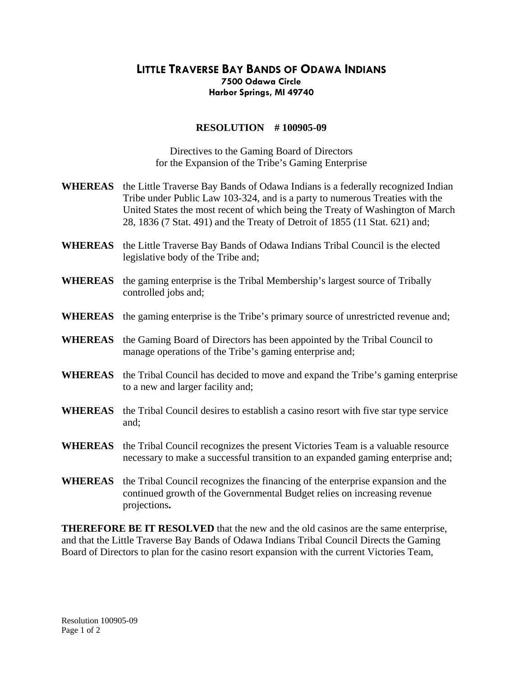## **LITTLE TRAVERSE BAY BANDS OF ODAWA INDIANS 7500 Odawa Circle Harbor Springs, MI 49740**

## **RESOLUTION # 100905-09**

Directives to the Gaming Board of Directors for the Expansion of the Tribe's Gaming Enterprise

- **WHEREAS** the Little Traverse Bay Bands of Odawa Indians is a federally recognized Indian Tribe under Public Law 103-324, and is a party to numerous Treaties with the United States the most recent of which being the Treaty of Washington of March 28, 1836 (7 Stat. 491) and the Treaty of Detroit of 1855 (11 Stat. 621) and;
- **WHEREAS** the Little Traverse Bay Bands of Odawa Indians Tribal Council is the elected legislative body of the Tribe and;
- **WHEREAS** the gaming enterprise is the Tribal Membership's largest source of Tribally controlled jobs and;
- **WHEREAS** the gaming enterprise is the Tribe's primary source of unrestricted revenue and;
- **WHEREAS** the Gaming Board of Directors has been appointed by the Tribal Council to manage operations of the Tribe's gaming enterprise and;
- **WHEREAS** the Tribal Council has decided to move and expand the Tribe's gaming enterprise to a new and larger facility and;
- **WHEREAS** the Tribal Council desires to establish a casino resort with five star type service and;
- **WHEREAS** the Tribal Council recognizes the present Victories Team is a valuable resource necessary to make a successful transition to an expanded gaming enterprise and;
- **WHEREAS** the Tribal Council recognizes the financing of the enterprise expansion and the continued growth of the Governmental Budget relies on increasing revenue projections**.**

**THEREFORE BE IT RESOLVED** that the new and the old casinos are the same enterprise, and that the Little Traverse Bay Bands of Odawa Indians Tribal Council Directs the Gaming Board of Directors to plan for the casino resort expansion with the current Victories Team,